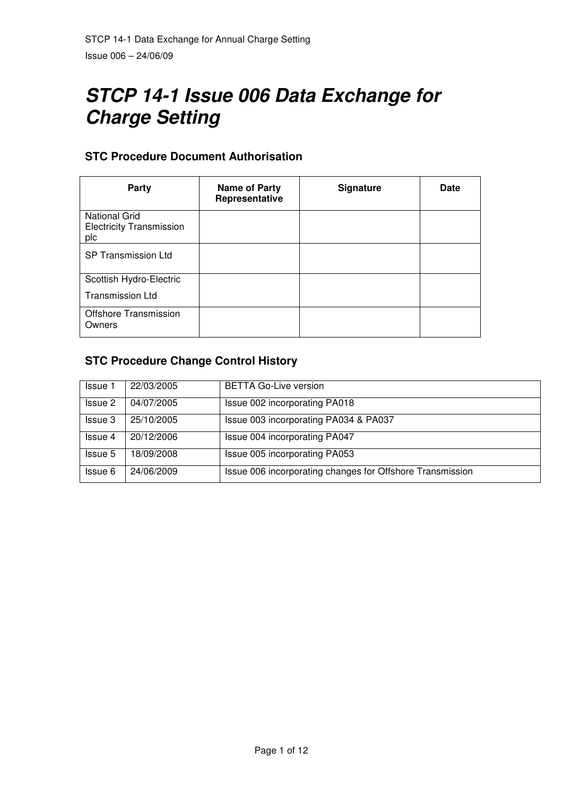# **STCP 14-1 Issue 006 Data Exchange for Charge Setting**

## **STC Procedure Document Authorisation**

| Party                                                          | Name of Party<br>Representative | <b>Signature</b> | Date |
|----------------------------------------------------------------|---------------------------------|------------------|------|
| <b>National Grid</b><br><b>Electricity Transmission</b><br>plc |                                 |                  |      |
| SP Transmission Ltd                                            |                                 |                  |      |
| Scottish Hydro-Electric<br><b>Transmission Ltd</b>             |                                 |                  |      |
| <b>Offshore Transmission</b><br>Owners                         |                                 |                  |      |

## **STC Procedure Change Control History**

| Issue 1 | 22/03/2005 | <b>BETTA Go-Live version</b>                              |
|---------|------------|-----------------------------------------------------------|
| Issue 2 | 04/07/2005 | Issue 002 incorporating PA018                             |
| Issue 3 | 25/10/2005 | Issue 003 incorporating PA034 & PA037                     |
| Issue 4 | 20/12/2006 | Issue 004 incorporating PA047                             |
| Issue 5 | 18/09/2008 | Issue 005 incorporating PA053                             |
| Issue 6 | 24/06/2009 | Issue 006 incorporating changes for Offshore Transmission |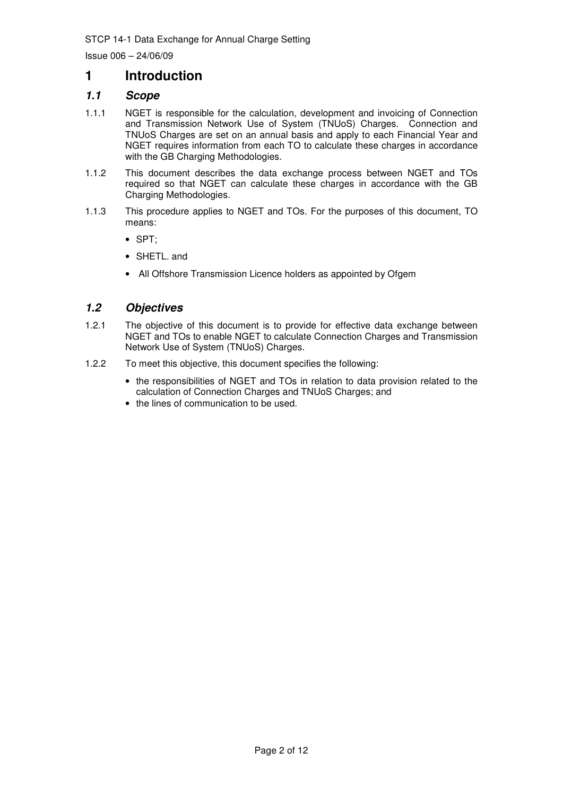STCP 14-1 Data Exchange for Annual Charge Setting

Issue 006 – 24/06/09

## **1 Introduction**

### **1.1 Scope**

- 1.1.1 NGET is responsible for the calculation, development and invoicing of Connection and Transmission Network Use of System (TNUoS) Charges. Connection and TNUoS Charges are set on an annual basis and apply to each Financial Year and NGET requires information from each TO to calculate these charges in accordance with the GB Charging Methodologies.
- 1.1.2 This document describes the data exchange process between NGET and TOs required so that NGET can calculate these charges in accordance with the GB Charging Methodologies.
- 1.1.3 This procedure applies to NGET and TOs. For the purposes of this document, TO means:
	- SPT;
	- SHETL. and
	- All Offshore Transmission Licence holders as appointed by Ofgem

## **1.2 Objectives**

- 1.2.1 The objective of this document is to provide for effective data exchange between NGET and TOs to enable NGET to calculate Connection Charges and Transmission Network Use of System (TNUoS) Charges.
- 1.2.2 To meet this objective, this document specifies the following:
	- the responsibilities of NGET and TOs in relation to data provision related to the calculation of Connection Charges and TNUoS Charges; and
	- the lines of communication to be used.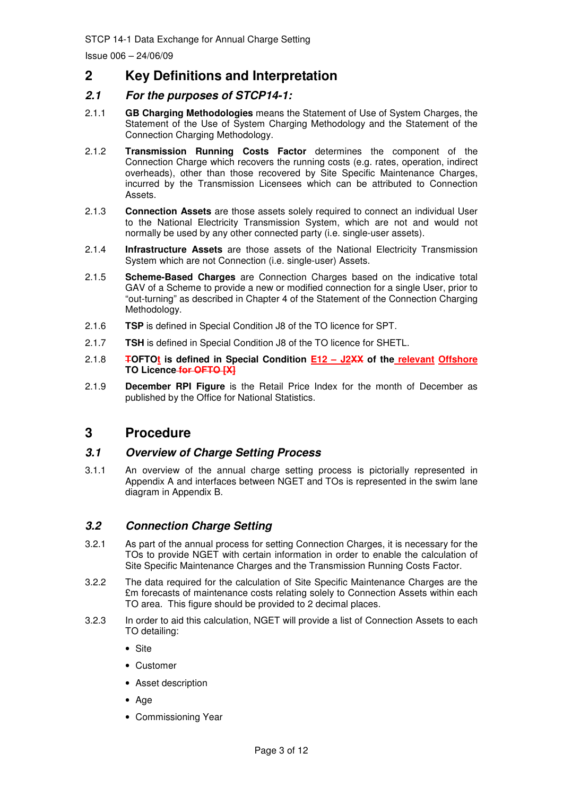## **2 Key Definitions and Interpretation**

### **2.1 For the purposes of STCP14-1:**

- 2.1.1 **GB Charging Methodologies** means the Statement of Use of System Charges, the Statement of the Use of System Charging Methodology and the Statement of the Connection Charging Methodology.
- 2.1.2 **Transmission Running Costs Factor** determines the component of the Connection Charge which recovers the running costs (e.g. rates, operation, indirect overheads), other than those recovered by Site Specific Maintenance Charges, incurred by the Transmission Licensees which can be attributed to Connection Assets.
- 2.1.3 **Connection Assets** are those assets solely required to connect an individual User to the National Electricity Transmission System, which are not and would not normally be used by any other connected party (i.e. single-user assets).
- 2.1.4 **Infrastructure Assets** are those assets of the National Electricity Transmission System which are not Connection (i.e. single-user) Assets.
- 2.1.5 **Scheme-Based Charges** are Connection Charges based on the indicative total GAV of a Scheme to provide a new or modified connection for a single User, prior to "out-turning" as described in Chapter 4 of the Statement of the Connection Charging Methodology.
- 2.1.6 **TSP** is defined in Special Condition J8 of the TO licence for SPT.
- 2.1.7 **TSH** is defined in Special Condition J8 of the TO licence for SHETL.
- 2.1.8 **TOFTOt is defined in Special Condition E12 J2XX of the relevant Offshore TO Licence for OFTO [X]**
- 2.1.9 **December RPI Figure** is the Retail Price Index for the month of December as published by the Office for National Statistics.

## **3 Procedure**

#### **3.1 Overview of Charge Setting Process**

3.1.1 An overview of the annual charge setting process is pictorially represented in Appendix A and interfaces between NGET and TOs is represented in the swim lane diagram in Appendix B.

## **3.2 Connection Charge Setting**

- 3.2.1 As part of the annual process for setting Connection Charges, it is necessary for the TOs to provide NGET with certain information in order to enable the calculation of Site Specific Maintenance Charges and the Transmission Running Costs Factor.
- 3.2.2 The data required for the calculation of Site Specific Maintenance Charges are the £m forecasts of maintenance costs relating solely to Connection Assets within each TO area. This figure should be provided to 2 decimal places.
- 3.2.3 In order to aid this calculation, NGET will provide a list of Connection Assets to each TO detailing:
	- Site
	- Customer
	- Asset description
	- Age
	- Commissioning Year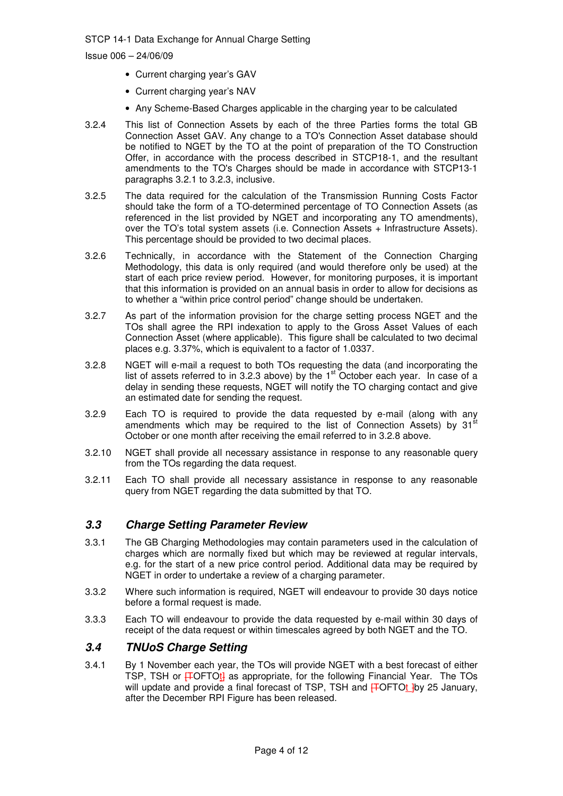- STCP 14-1 Data Exchange for Annual Charge Setting
- Issue 006 24/06/09
	- Current charging year's GAV
	- Current charging year's NAV
	- Any Scheme-Based Charges applicable in the charging year to be calculated
- 3.2.4 This list of Connection Assets by each of the three Parties forms the total GB Connection Asset GAV. Any change to a TO's Connection Asset database should be notified to NGET by the TO at the point of preparation of the TO Construction Offer, in accordance with the process described in STCP18-1, and the resultant amendments to the TO's Charges should be made in accordance with STCP13-1 paragraphs 3.2.1 to 3.2.3, inclusive.
- 3.2.5 The data required for the calculation of the Transmission Running Costs Factor should take the form of a TO-determined percentage of TO Connection Assets (as referenced in the list provided by NGET and incorporating any TO amendments), over the TO's total system assets (i.e. Connection Assets + Infrastructure Assets). This percentage should be provided to two decimal places.
- 3.2.6 Technically, in accordance with the Statement of the Connection Charging Methodology, this data is only required (and would therefore only be used) at the start of each price review period. However, for monitoring purposes, it is important that this information is provided on an annual basis in order to allow for decisions as to whether a "within price control period" change should be undertaken.
- 3.2.7 As part of the information provision for the charge setting process NGET and the TOs shall agree the RPI indexation to apply to the Gross Asset Values of each Connection Asset (where applicable). This figure shall be calculated to two decimal places e.g. 3.37%, which is equivalent to a factor of 1.0337.
- 3.2.8 NGET will e-mail a request to both TOs requesting the data (and incorporating the list of assets referred to in 3.2.3 above) by the  $1<sup>st</sup>$  October each year. In case of a delay in sending these requests, NGET will notify the TO charging contact and give an estimated date for sending the request.
- 3.2.9 Each TO is required to provide the data requested by e-mail (along with any amendments which may be required to the list of Connection Assets) by  $31^{\circ}$ October or one month after receiving the email referred to in 3.2.8 above.
- 3.2.10 NGET shall provide all necessary assistance in response to any reasonable query from the TOs regarding the data request.
- 3.2.11 Each TO shall provide all necessary assistance in response to any reasonable query from NGET regarding the data submitted by that TO.

## **3.3 Charge Setting Parameter Review**

- 3.3.1 The GB Charging Methodologies may contain parameters used in the calculation of charges which are normally fixed but which may be reviewed at regular intervals, e.g. for the start of a new price control period. Additional data may be required by NGET in order to undertake a review of a charging parameter.
- 3.3.2 Where such information is required, NGET will endeavour to provide 30 days notice before a formal request is made.
- 3.3.3 Each TO will endeavour to provide the data requested by e-mail within 30 days of receipt of the data request or within timescales agreed by both NGET and the TO.

#### **3.4 TNUoS Charge Setting**

3.4.1 By 1 November each year, the TOs will provide NGET with a best forecast of either TSP, TSH or **H**OFTOt<sup>1</sup> as appropriate, for the following Financial Year. The TOs will update and provide a final forecast of TSP, TSH and  $\overline{H}$ OFTOt  $\overline{I}$ by 25 January, after the December RPI Figure has been released.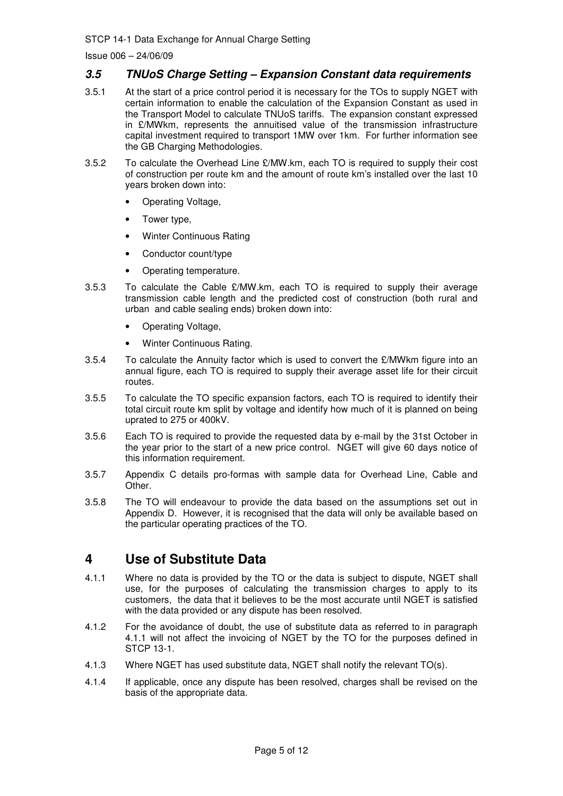#### **3.5 TNUoS Charge Setting – Expansion Constant data requirements**

- 3.5.1 At the start of a price control period it is necessary for the TOs to supply NGET with certain information to enable the calculation of the Expansion Constant as used in the Transport Model to calculate TNUoS tariffs. The expansion constant expressed in £/MWkm, represents the annuitised value of the transmission infrastructure capital investment required to transport 1MW over 1km. For further information see the GB Charging Methodologies.
- 3.5.2 To calculate the Overhead Line £/MW.km, each TO is required to supply their cost of construction per route km and the amount of route km's installed over the last 10 years broken down into:
	- Operating Voltage,
	- Tower type,
	- Winter Continuous Rating
	- Conductor count/type
	- Operating temperature.
- 3.5.3 To calculate the Cable £/MW.km, each TO is required to supply their average transmission cable length and the predicted cost of construction (both rural and urban and cable sealing ends) broken down into:
	- Operating Voltage,
	- Winter Continuous Rating.
- 3.5.4 To calculate the Annuity factor which is used to convert the £/MWkm figure into an annual figure, each TO is required to supply their average asset life for their circuit routes.
- 3.5.5 To calculate the TO specific expansion factors, each TO is required to identify their total circuit route km split by voltage and identify how much of it is planned on being uprated to 275 or 400kV.
- 3.5.6 Each TO is required to provide the requested data by e-mail by the 31st October in the year prior to the start of a new price control. NGET will give 60 days notice of this information requirement.
- 3.5.7 Appendix C details pro-formas with sample data for Overhead Line, Cable and Other.
- 3.5.8 The TO will endeavour to provide the data based on the assumptions set out in Appendix D. However, it is recognised that the data will only be available based on the particular operating practices of the TO.

# **4 Use of Substitute Data**

- 4.1.1 Where no data is provided by the TO or the data is subject to dispute, NGET shall use, for the purposes of calculating the transmission charges to apply to its customers, the data that it believes to be the most accurate until NGET is satisfied with the data provided or any dispute has been resolved.
- 4.1.2 For the avoidance of doubt, the use of substitute data as referred to in paragraph 4.1.1 will not affect the invoicing of NGET by the TO for the purposes defined in STCP 13-1.
- 4.1.3 Where NGET has used substitute data, NGET shall notify the relevant TO(s).
- 4.1.4 If applicable, once any dispute has been resolved, charges shall be revised on the basis of the appropriate data.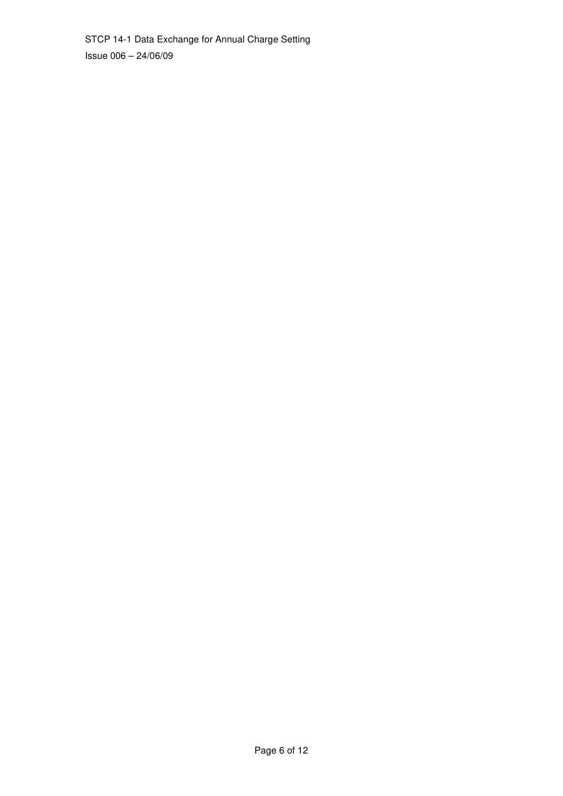STCP 14-1 Data Exchange for Annual Charge Setting Issue 006 – 24/06/09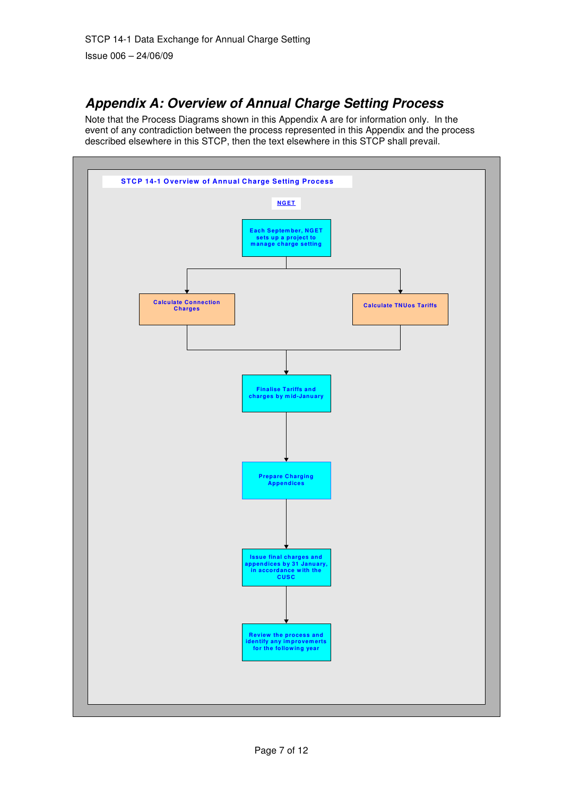# **Appendix A: Overview of Annual Charge Setting Process**

Note that the Process Diagrams shown in this Appendix A are for information only. In the event of any contradiction between the process represented in this Appendix and the process described elsewhere in this STCP, then the text elsewhere in this STCP shall prevail.

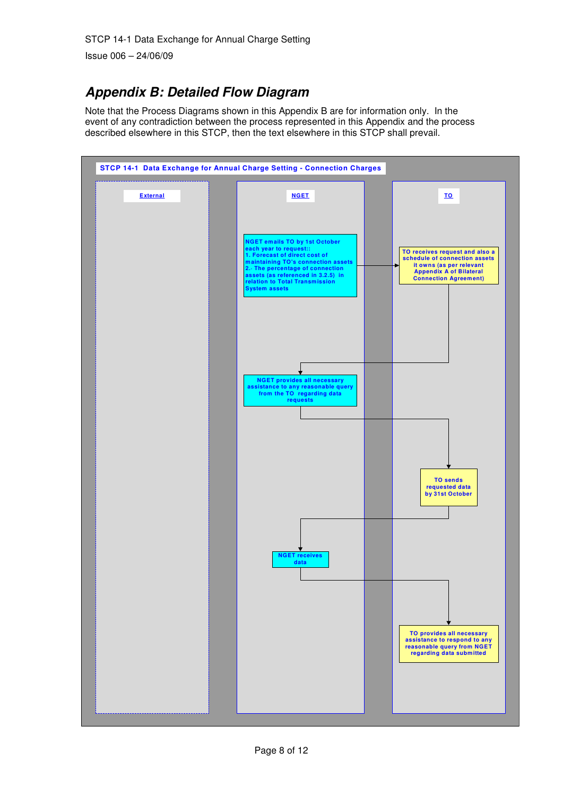# **Appendix B: Detailed Flow Diagram**

Note that the Process Diagrams shown in this Appendix B are for information only. In the event of any contradiction between the process represented in this Appendix and the process described elsewhere in this STCP, then the text elsewhere in this STCP shall prevail.

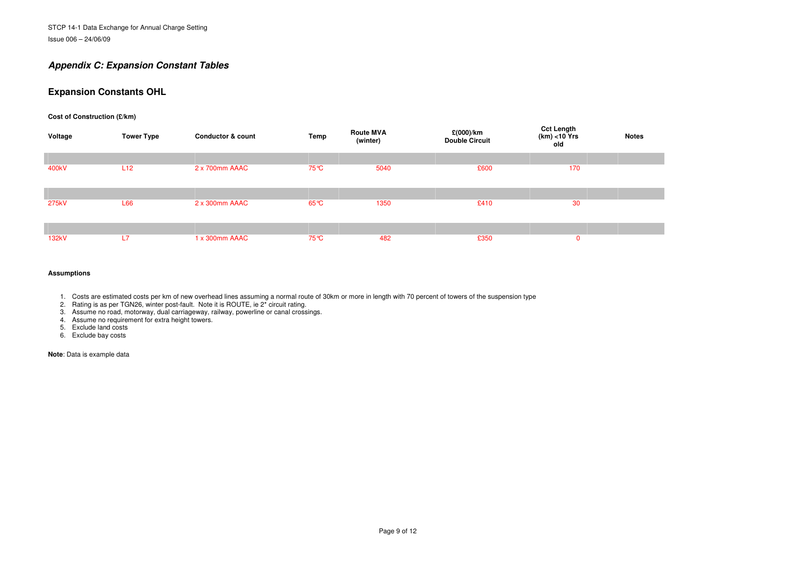# **Appendix C: Expansion Constant Tables**

# **Expansion Constants OHL**

#### **Cost of Construction (£/km)**

| Voltage      | <b>Tower Type</b> | <b>Conductor &amp; count</b> | <b>Temp</b>    | <b>Route MVA</b><br>(winter) | E(000)/km<br><b>Double Circuit</b> | <b>Cct Length</b><br>$(km)$ < 10 Yrs<br>old | <b>Notes</b> |
|--------------|-------------------|------------------------------|----------------|------------------------------|------------------------------------|---------------------------------------------|--------------|
| 400kV        | L12               | 2 x 700mm AAAC               | 75℃            | 5040                         | £600                               | 170                                         |              |
| 275kV        | L66               | 2 x 300mm AAAC               | $65^{\circ}$ C | 1350                         | £410                               | 30                                          |              |
| <b>132kV</b> | ∟7                | 1 x 300mm AAAC               | 75℃            | 482                          | £350                               | $\boldsymbol{0}$                            |              |

#### **Assumptions**

- 1. Costs are estimated costs per km of new overhead lines assuming a normal route of 30km or more in length with 70 percent of towers of the suspension type
- 2. Rating is as per TGN26, winter post-fault. Note it is ROUTE, ie 2\* circuit rating.
- 3. Assume no road, motorway, dual carriageway, railway, powerline or canal crossings. 4. Assume no requirement for extra height towers.
- 
- 5. Exclude land costs
- 6. Exclude bay costs

**Note**: Data is example data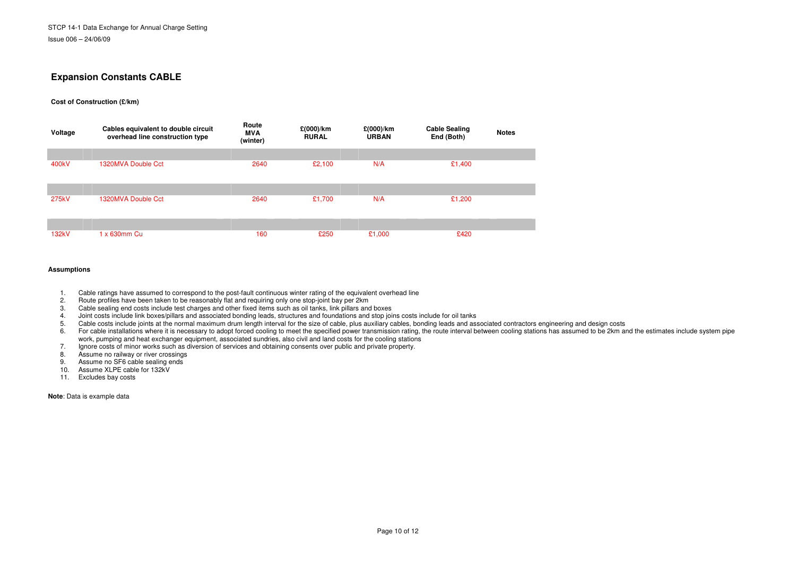# **Expansion Constants CABLE**

#### **Cost of Construction (£/km)**

| Voltage | Cables equivalent to double circuit<br>overhead line construction type | Route<br><b>MVA</b><br>(winter) | E(000)/km<br><b>RURAL</b> | E(000)/km<br><b>URBAN</b> | <b>Cable Sealing</b><br>End (Both) | <b>Notes</b> |
|---------|------------------------------------------------------------------------|---------------------------------|---------------------------|---------------------------|------------------------------------|--------------|
|         |                                                                        |                                 |                           |                           |                                    |              |
| 400kV   | 1320MVA Double Cct                                                     | 2640                            | £2,100                    | N/A                       | £1,400                             |              |
|         |                                                                        |                                 |                           |                           |                                    |              |
|         |                                                                        |                                 |                           |                           |                                    |              |
| 275kV   | 1320MVA Double Cct                                                     | 2640                            | £1,700                    | N/A                       | £1,200                             |              |
|         |                                                                        |                                 |                           |                           |                                    |              |
|         |                                                                        |                                 |                           |                           |                                    |              |
| 132kV   | 1 x 630mm Cu                                                           | 160                             | £250                      | £1,000                    | £420                               |              |

#### **Assumptions**

- 1. Cable ratings have assumed to correspond to the post-fault continuous winter rating of the equivalent overhead line<br>2. Route profiles have been taken to be reasonably flat and requiring only one stop-joint bay per 2km
- 2. Route profiles have been taken to be reasonably flat and requiring only one stop-joint bay per 2km
- 3. Cable sealing end costs include test charges and other fixed items such as oil tanks, link pillars and boxes
- 4. Joint costs include link boxes/pillars and associated bonding leads, structures and foundations and stop joins costs include for oil tanks
- 5. Cable costs include joints at the normal maximum drum length interval for the size of cable, plus auxiliary cables, bonding leads and associated contractors engineering and design costs 6. For cable installations where it is necessary to adopt forced cooling to meet the specified power transmission rating, the route interval between cooling stations has assumed to be 2km and the estimates include system p work, pumping and heat exchanger equipment, associated sundries, also civil and land costs for the cooling stations
- 7. Ignore costs of minor works such as diversion of services and obtaining consents over public and private property.<br>8. Assume no railway or river crossings
- 
- 8. Assume no railway or river crossings<br>9. Assume no SF6 cable sealing ends Assume no SF6 cable sealing ends
- 10. Assume XLPE cable for 132kV
- 
- 11. Excludes bay costs

**Note**: Data is example data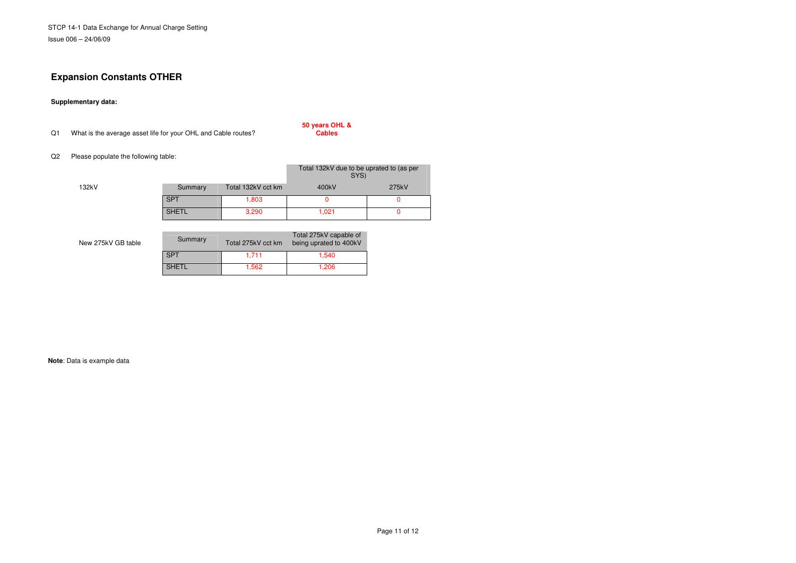# **Expansion Constants OTHER**

### **Supplementary data:**

Q1 What is the average asset life for your OHL and Cable routes?

# **50 years OHL & Cables**

Q2 Please populate the following table:

|                    | Total 132kV due to be uprated to (as per<br>SYS) |       |  |
|--------------------|--------------------------------------------------|-------|--|
| Total 132kV cct km | 400kV                                            | 275kV |  |
| 1,803              |                                                  |       |  |
| 3,290              | 1,021                                            |       |  |
|                    | Summary                                          |       |  |

| New 275kV GB table | Summary<br>Total 275kV cct km |       | Total 275kV capable of<br>being uprated to 400kV |  |
|--------------------|-------------------------------|-------|--------------------------------------------------|--|
|                    | <b>SPT</b>                    | 1.711 | 1.540                                            |  |
|                    | <b>SHETL</b>                  | 1.562 | 1.206                                            |  |

**Note**: Data is example data